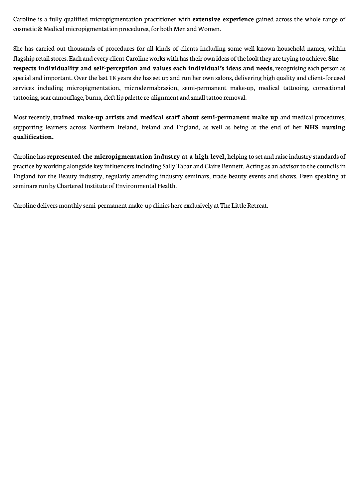Caroline is a fully qualified micropigmentation practitioner with **extensive experience** gained across the whole range of cosmetic & Medical micropigmentation procedures, for both Men and Women.

She has carried out thousands of procedures for all kinds of clients including some well-known household names, within flagship retail stores. Each and every client Caroline works with has their own ideas of the look they are trying to achieve. **She respects individuality and self-perception and values each individual's ideas and needs**, recognising each person as special and important. Over the last 18 years she has set up and run her own salons, delivering high quality and client-focused services including micropigmentation, microdermabrasion, semi-permanent make-up, medical tattooing, correctional tattooing, scar camouflage, burns, cleft lip palette re-alignment and small tattoo removal.

Most recently, **trained make-up artists and medical staff about semi-permanent make up** and medical procedures, supporting learners across Northern Ireland, Ireland and England, as well as being at the end of her **NHS nursing qualification.**

Caroline has **represented the micropigmentation industry at a high level,** helping to set and raise industry standards of practice by working alongside key influencers including Sally Tabar and Claire Bennett. Acting as an advisor to the councils in England for the Beauty industry, regularly attending industry seminars, trade beauty events and shows. Even speaking at seminars run by Chartered Institute of Environmental Health.

Caroline delivers monthly semi-permanent make-up clinics here exclusively at The Little Retreat.